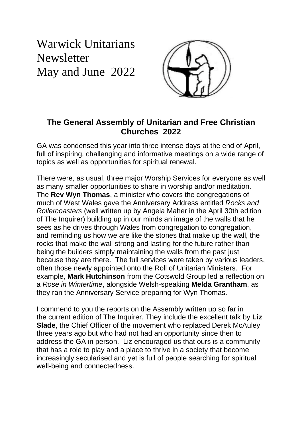Warwick Unitarians **Newsletter** May and June 2022



## **The General Assembly of Unitarian and Free Christian Churches 2022**

GA was condensed this year into three intense days at the end of April, full of inspiring, challenging and informative meetings on a wide range of topics as well as opportunities for spiritual renewal.

There were, as usual, three major Worship Services for everyone as well as many smaller opportunities to share in worship and/or meditation. The **Rev Wyn Thomas**, a minister who covers the congregations of much of West Wales gave the Anniversary Address entitled *Rocks and Rollercoasters* (well written up by Angela Maher in the April 30th edition of The Inquirer) building up in our minds an image of the walls that he sees as he drives through Wales from congregation to congregation, and reminding us how we are like the stones that make up the wall, the rocks that make the wall strong and lasting for the future rather than being the builders simply maintaining the walls from the past just because they are there. The full services were taken by various leaders, often those newly appointed onto the Roll of Unitarian Ministers. For example, **Mark Hutchinson** from the Cotswold Group led a reflection on a *Rose in Wintertime*, alongside Welsh-speaking **Melda Grantham**, as they ran the Anniversary Service preparing for Wyn Thomas.

I commend to you the reports on the Assembly written up so far in the current edition of The Inquirer. They include the excellent talk by **Liz Slade**, the Chief Officer of the movement who replaced Derek McAuley three years ago but who had not had an opportunity since then to address the GA in person. Liz encouraged us that ours is a community that has a role to play and a place to thrive in a society that become increasingly secularised and yet is full of people searching for spiritual well-being and connectedness.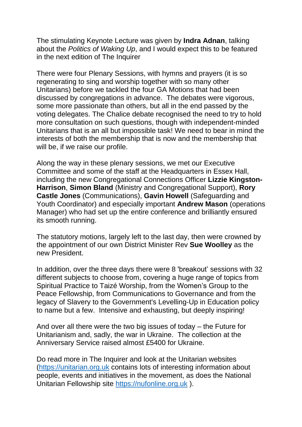The stimulating Keynote Lecture was given by **Indra Adnan**, talking about the *Politics of Waking Up*, and I would expect this to be featured in the next edition of The Inquirer

There were four Plenary Sessions, with hymns and prayers (it is so regenerating to sing and worship together with so many other Unitarians) before we tackled the four GA Motions that had been discussed by congregations in advance. The debates were vigorous, some more passionate than others, but all in the end passed by the voting delegates. The Chalice debate recognised the need to try to hold more consultation on such questions, though with independent-minded Unitarians that is an all but impossible task! We need to bear in mind the interests of both the membership that is now and the membership that will be, if we raise our profile.

Along the way in these plenary sessions, we met our Executive Committee and some of the staff at the Headquarters in Essex Hall, including the new Congregational Connections Officer **Lizzie Kingston-Harrison**, **Simon Bland** (Ministry and Congregational Support), **Rory Castle Jones** (Communications), **Gavin Howell** (Safeguarding and Youth Coordinator) and especially important **Andrew Mason** (operations Manager) who had set up the entire conference and brilliantly ensured its smooth running.

The statutory motions, largely left to the last day, then were crowned by the appointment of our own District Minister Rev **Sue Woolley** as the new President.

In addition, over the three days there were 8 'breakout' sessions with 32 different subjects to choose from, covering a huge range of topics from Spiritual Practice to Taizé Worship, from the Women's Group to the Peace Fellowship, from Communications to Governance and from the legacy of Slavery to the Government's Levelling-Up in Education policy to name but a few. Intensive and exhausting, but deeply inspiring!

And over all there were the two big issues of today – the Future for Unitarianism and, sadly, the war in Ukraine. The collection at the Anniversary Service raised almost £5400 for Ukraine.

Do read more in The Inquirer and look at the Unitarian websites [\(https://unitarian.org.uk](https://unitarian.org.uk/) contains lots of interesting information about people, events and initiatives in the movement, as does the National Unitarian Fellowship site [https://nufonline.org.uk](https://nufonline.org.uk/) ).